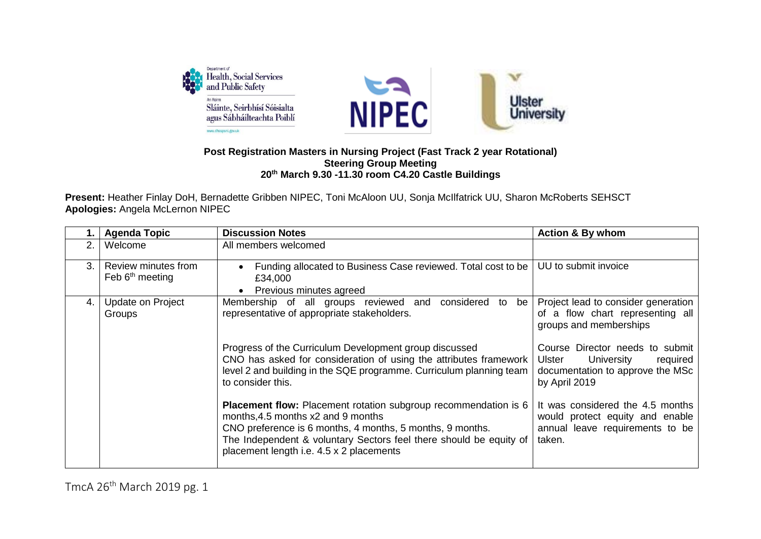

## **Post Registration Masters in Nursing Project (Fast Track 2 year Rotational) Steering Group Meeting 20 th March 9.30 -11.30 room C4.20 Castle Buildings**

**Present:** Heather Finlay DoH, Bernadette Gribben NIPEC, Toni McAloon UU, Sonja McIlfatrick UU, Sharon McRoberts SEHSCT **Apologies:** Angela McLernon NIPEC

|    | <b>Agenda Topic</b>                      | <b>Discussion Notes</b>                                                                                                                                                                                                                                                                     | <b>Action &amp; By whom</b>                                                                                              |
|----|------------------------------------------|---------------------------------------------------------------------------------------------------------------------------------------------------------------------------------------------------------------------------------------------------------------------------------------------|--------------------------------------------------------------------------------------------------------------------------|
| 2. | Welcome                                  | All members welcomed                                                                                                                                                                                                                                                                        |                                                                                                                          |
| 3. | Review minutes from<br>Feb $6th$ meeting | Funding allocated to Business Case reviewed. Total cost to be<br>£34,000<br>Previous minutes agreed                                                                                                                                                                                         | UU to submit invoice                                                                                                     |
| 4. | Update on Project<br>Groups              | Membership of all groups reviewed and considered to<br>be<br>representative of appropriate stakeholders.                                                                                                                                                                                    | Project lead to consider generation<br>of a flow chart representing all<br>groups and memberships                        |
|    |                                          | Progress of the Curriculum Development group discussed<br>CNO has asked for consideration of using the attributes framework<br>level 2 and building in the SQE programme. Curriculum planning team<br>to consider this.                                                                     | Course Director needs to submit<br>Ulster<br>University<br>required<br>documentation to approve the MSc<br>by April 2019 |
|    |                                          | <b>Placement flow:</b> Placement rotation subgroup recommendation is 6<br>months, 4.5 months x2 and 9 months<br>CNO preference is 6 months, 4 months, 5 months, 9 months.<br>The Independent & voluntary Sectors feel there should be equity of<br>placement length i.e. 4.5 x 2 placements | It was considered the 4.5 months<br>would protect equity and enable<br>annual leave requirements to be<br>taken.         |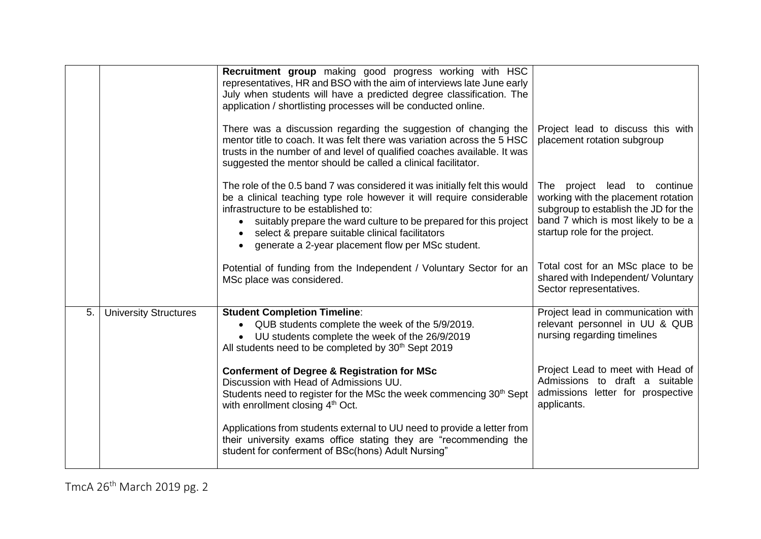|    |                              | Recruitment group making good progress working with HSC<br>representatives, HR and BSO with the aim of interviews late June early<br>July when students will have a predicted degree classification. The<br>application / shortlisting processes will be conducted online.                                                                                               |                                                                                                                                                                                        |
|----|------------------------------|--------------------------------------------------------------------------------------------------------------------------------------------------------------------------------------------------------------------------------------------------------------------------------------------------------------------------------------------------------------------------|----------------------------------------------------------------------------------------------------------------------------------------------------------------------------------------|
|    |                              | There was a discussion regarding the suggestion of changing the<br>mentor title to coach. It was felt there was variation across the 5 HSC<br>trusts in the number of and level of qualified coaches available. It was<br>suggested the mentor should be called a clinical facilitator.                                                                                  | Project lead to discuss this with<br>placement rotation subgroup                                                                                                                       |
|    |                              | The role of the 0.5 band 7 was considered it was initially felt this would<br>be a clinical teaching type role however it will require considerable<br>infrastructure to be established to:<br>suitably prepare the ward culture to be prepared for this project<br>select & prepare suitable clinical facilitators<br>generate a 2-year placement flow per MSc student. | project lead to continue<br>The<br>working with the placement rotation<br>subgroup to establish the JD for the<br>band 7 which is most likely to be a<br>startup role for the project. |
|    |                              | Potential of funding from the Independent / Voluntary Sector for an<br>MSc place was considered.                                                                                                                                                                                                                                                                         | Total cost for an MSc place to be<br>shared with Independent/ Voluntary<br>Sector representatives.                                                                                     |
| 5. | <b>University Structures</b> | <b>Student Completion Timeline:</b><br>QUB students complete the week of the 5/9/2019.<br>UU students complete the week of the 26/9/2019<br>All students need to be completed by 30 <sup>th</sup> Sept 2019                                                                                                                                                              | Project lead in communication with<br>relevant personnel in UU & QUB<br>nursing regarding timelines                                                                                    |
|    |                              | <b>Conferment of Degree &amp; Registration for MSc</b><br>Discussion with Head of Admissions UU.<br>Students need to register for the MSc the week commencing 30 <sup>th</sup> Sept<br>with enrollment closing 4 <sup>th</sup> Oct.                                                                                                                                      | Project Lead to meet with Head of<br>Admissions to draft a suitable<br>admissions letter for prospective<br>applicants.                                                                |
|    |                              | Applications from students external to UU need to provide a letter from<br>their university exams office stating they are "recommending the<br>student for conferment of BSc(hons) Adult Nursing"                                                                                                                                                                        |                                                                                                                                                                                        |